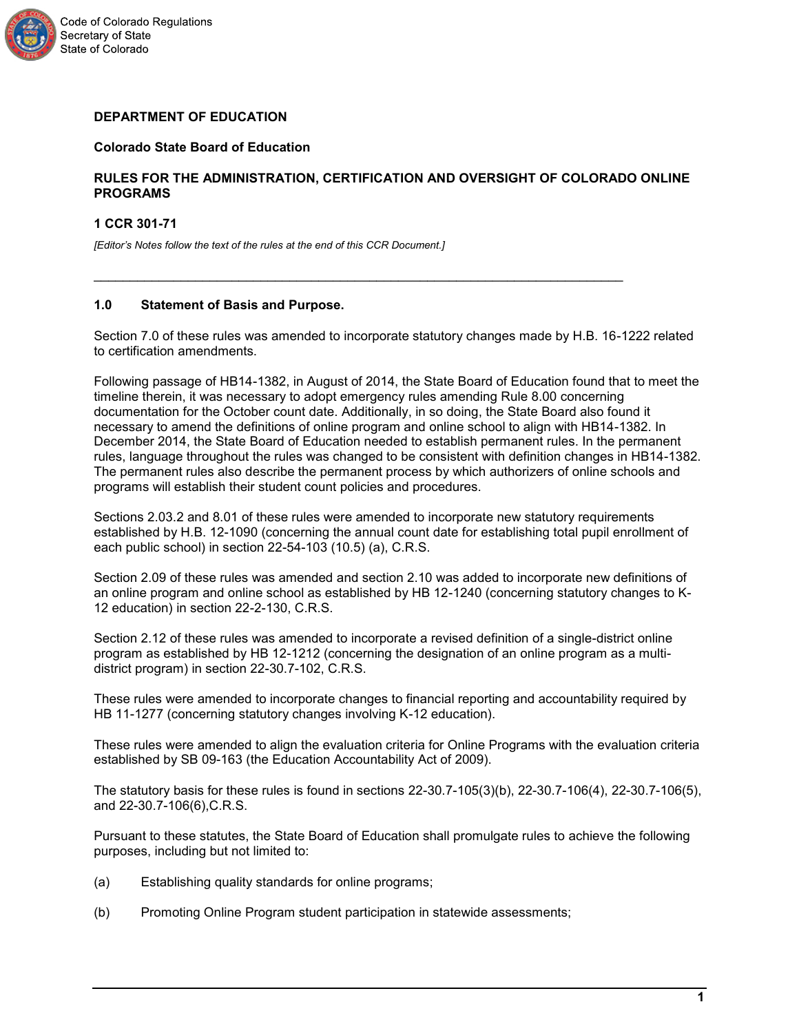

# **DEPARTMENT OF EDUCATION**

# **Colorado State Board of Education**

# **RULES FOR THE ADMINISTRATION, CERTIFICATION AND OVERSIGHT OF COLORADO ONLINE PROGRAMS**

**1 CCR 301-71**

*[Editor's Notes follow the text of the rules at the end of this CCR Document.]* 

# **1.0 Statement of Basis and Purpose.**

Section 7.0 of these rules was amended to incorporate statutory changes made by H.B. 16-1222 related to certification amendments.

\_\_\_\_\_\_\_\_\_\_\_\_\_\_\_\_\_\_\_\_\_\_\_\_\_\_\_\_\_\_\_\_\_\_\_\_\_\_\_\_\_\_\_\_\_\_\_\_\_\_\_\_\_\_\_\_\_\_\_\_\_\_\_\_\_\_\_\_\_\_\_\_\_

Following passage of HB14-1382, in August of 2014, the State Board of Education found that to meet the timeline therein, it was necessary to adopt emergency rules amending Rule 8.00 concerning documentation for the October count date. Additionally, in so doing, the State Board also found it necessary to amend the definitions of online program and online school to align with HB14-1382. In December 2014, the State Board of Education needed to establish permanent rules. In the permanent rules, language throughout the rules was changed to be consistent with definition changes in HB14-1382. The permanent rules also describe the permanent process by which authorizers of online schools and programs will establish their student count policies and procedures.

Sections 2.03.2 and 8.01 of these rules were amended to incorporate new statutory requirements established by H.B. 12-1090 (concerning the annual count date for establishing total pupil enrollment of each public school) in section 22-54-103 (10.5) (a), C.R.S.

Section 2.09 of these rules was amended and section 2.10 was added to incorporate new definitions of an online program and online school as established by HB 12-1240 (concerning statutory changes to K-12 education) in section 22-2-130, C.R.S.

Section 2.12 of these rules was amended to incorporate a revised definition of a single-district online program as established by HB 12-1212 (concerning the designation of an online program as a multidistrict program) in section 22-30.7-102, C.R.S.

These rules were amended to incorporate changes to financial reporting and accountability required by HB 11-1277 (concerning statutory changes involving K-12 education).

These rules were amended to align the evaluation criteria for Online Programs with the evaluation criteria established by SB 09-163 (the Education Accountability Act of 2009).

The statutory basis for these rules is found in sections 22-30.7-105(3)(b), 22-30.7-106(4), 22-30.7-106(5), and 22-30.7-106(6),C.R.S.

Pursuant to these statutes, the State Board of Education shall promulgate rules to achieve the following purposes, including but not limited to:

- (a) Establishing quality standards for online programs;
- (b) Promoting Online Program student participation in statewide assessments;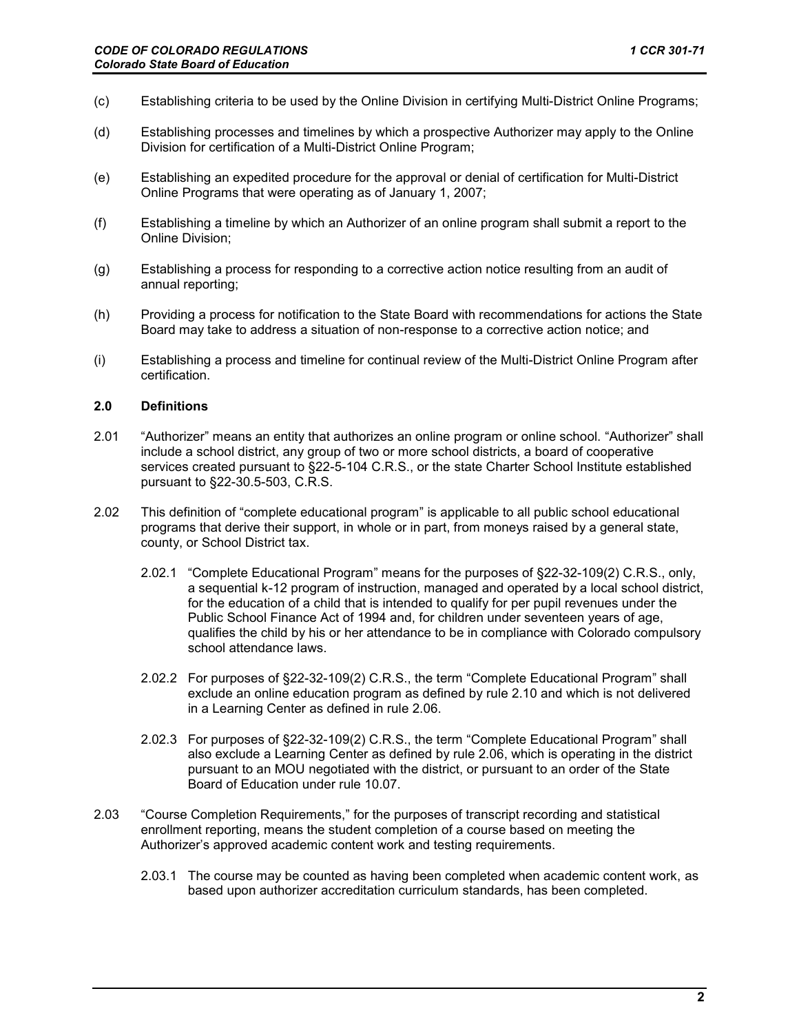- (c) Establishing criteria to be used by the Online Division in certifying Multi-District Online Programs;
- (d) Establishing processes and timelines by which a prospective Authorizer may apply to the Online Division for certification of a Multi-District Online Program;
- (e) Establishing an expedited procedure for the approval or denial of certification for Multi-District Online Programs that were operating as of January 1, 2007;
- (f) Establishing a timeline by which an Authorizer of an online program shall submit a report to the Online Division;
- (g) Establishing a process for responding to a corrective action notice resulting from an audit of annual reporting;
- (h) Providing a process for notification to the State Board with recommendations for actions the State Board may take to address a situation of non-response to a corrective action notice; and
- (i) Establishing a process and timeline for continual review of the Multi-District Online Program after certification.

#### **2.0 Definitions**

- 2.01 "Authorizer" means an entity that authorizes an online program or online school. "Authorizer" shall include a school district, any group of two or more school districts, a board of cooperative services created pursuant to §22-5-104 C.R.S., or the state Charter School Institute established pursuant to §22-30.5-503, C.R.S.
- 2.02 This definition of "complete educational program" is applicable to all public school educational programs that derive their support, in whole or in part, from moneys raised by a general state, county, or School District tax.
	- 2.02.1 "Complete Educational Program" means for the purposes of §22-32-109(2) C.R.S., only, a sequential k-12 program of instruction, managed and operated by a local school district, for the education of a child that is intended to qualify for per pupil revenues under the Public School Finance Act of 1994 and, for children under seventeen years of age, qualifies the child by his or her attendance to be in compliance with Colorado compulsory school attendance laws.
	- 2.02.2 For purposes of §22-32-109(2) C.R.S., the term "Complete Educational Program" shall exclude an online education program as defined by rule 2.10 and which is not delivered in a Learning Center as defined in rule 2.06.
	- 2.02.3 For purposes of §22-32-109(2) C.R.S., the term "Complete Educational Program" shall also exclude a Learning Center as defined by rule 2.06, which is operating in the district pursuant to an MOU negotiated with the district, or pursuant to an order of the State Board of Education under rule 10.07.
- 2.03 "Course Completion Requirements," for the purposes of transcript recording and statistical enrollment reporting, means the student completion of a course based on meeting the Authorizer's approved academic content work and testing requirements.
	- 2.03.1 The course may be counted as having been completed when academic content work, as based upon authorizer accreditation curriculum standards, has been completed.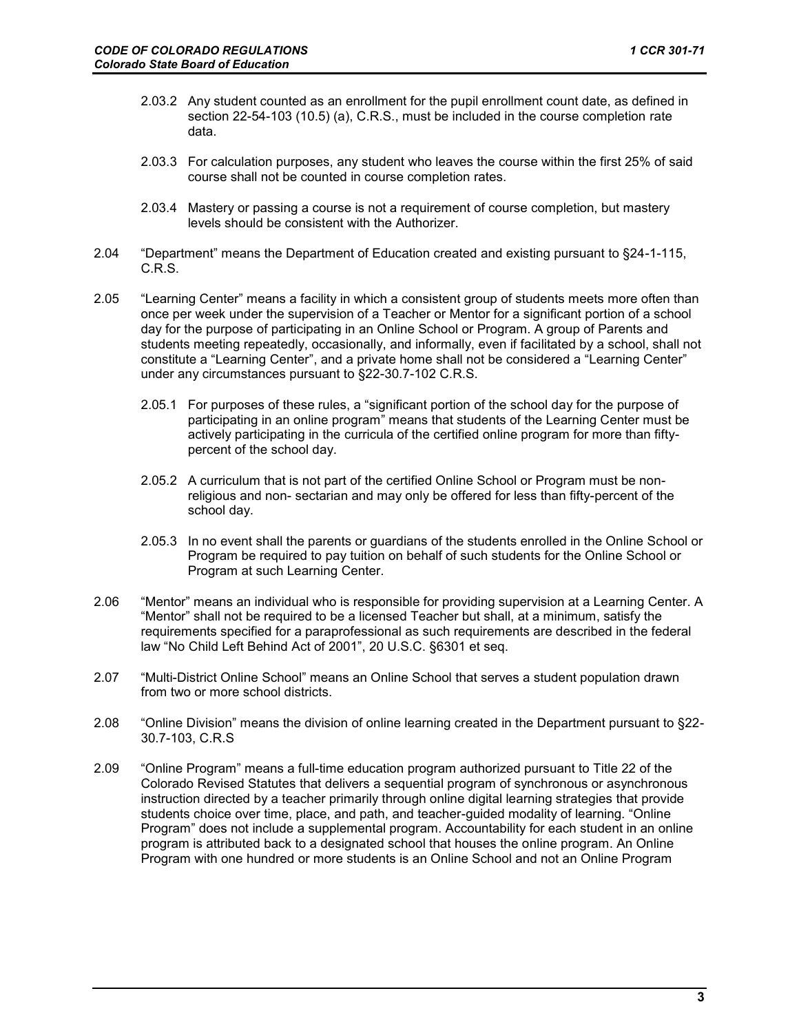- 2.03.2 Any student counted as an enrollment for the pupil enrollment count date, as defined in section 22-54-103 (10.5) (a), C.R.S., must be included in the course completion rate data.
- 2.03.3 For calculation purposes, any student who leaves the course within the first 25% of said course shall not be counted in course completion rates.
- 2.03.4 Mastery or passing a course is not a requirement of course completion, but mastery levels should be consistent with the Authorizer.
- 2.04 "Department" means the Department of Education created and existing pursuant to §24-1-115, C.R.S.
- 2.05 "Learning Center" means a facility in which a consistent group of students meets more often than once per week under the supervision of a Teacher or Mentor for a significant portion of a school day for the purpose of participating in an Online School or Program. A group of Parents and students meeting repeatedly, occasionally, and informally, even if facilitated by a school, shall not constitute a "Learning Center", and a private home shall not be considered a "Learning Center" under any circumstances pursuant to §22-30.7-102 C.R.S.
	- 2.05.1 For purposes of these rules, a "significant portion of the school day for the purpose of participating in an online program" means that students of the Learning Center must be actively participating in the curricula of the certified online program for more than fiftypercent of the school day.
	- 2.05.2 A curriculum that is not part of the certified Online School or Program must be nonreligious and non- sectarian and may only be offered for less than fifty-percent of the school day.
	- 2.05.3 In no event shall the parents or guardians of the students enrolled in the Online School or Program be required to pay tuition on behalf of such students for the Online School or Program at such Learning Center.
- 2.06 "Mentor" means an individual who is responsible for providing supervision at a Learning Center. A "Mentor" shall not be required to be a licensed Teacher but shall, at a minimum, satisfy the requirements specified for a paraprofessional as such requirements are described in the federal law "No Child Left Behind Act of 2001", 20 U.S.C. §6301 et seq.
- 2.07 "Multi-District Online School" means an Online School that serves a student population drawn from two or more school districts.
- 2.08 "Online Division" means the division of online learning created in the Department pursuant to §22- 30.7-103, C.R.S
- 2.09 "Online Program" means a full-time education program authorized pursuant to Title 22 of the Colorado Revised Statutes that delivers a sequential program of synchronous or asynchronous instruction directed by a teacher primarily through online digital learning strategies that provide students choice over time, place, and path, and teacher-guided modality of learning. "Online Program" does not include a supplemental program. Accountability for each student in an online program is attributed back to a designated school that houses the online program. An Online Program with one hundred or more students is an Online School and not an Online Program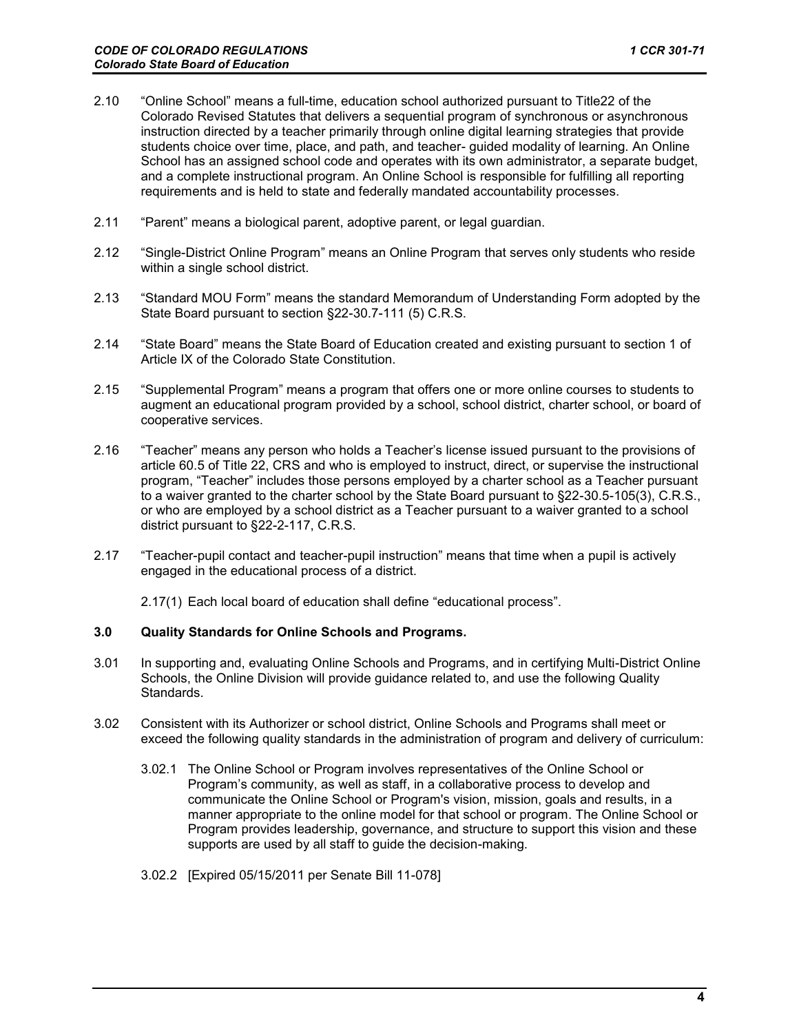- 2.10 "Online School" means a full-time, education school authorized pursuant to Title22 of the Colorado Revised Statutes that delivers a sequential program of synchronous or asynchronous instruction directed by a teacher primarily through online digital learning strategies that provide students choice over time, place, and path, and teacher- guided modality of learning. An Online School has an assigned school code and operates with its own administrator, a separate budget, and a complete instructional program. An Online School is responsible for fulfilling all reporting requirements and is held to state and federally mandated accountability processes.
- 2.11 "Parent" means a biological parent, adoptive parent, or legal guardian.
- 2.12 "Single-District Online Program" means an Online Program that serves only students who reside within a single school district.
- 2.13 "Standard MOU Form" means the standard Memorandum of Understanding Form adopted by the State Board pursuant to section §22-30.7-111 (5) C.R.S.
- 2.14 "State Board" means the State Board of Education created and existing pursuant to section 1 of Article IX of the Colorado State Constitution.
- 2.15 "Supplemental Program" means a program that offers one or more online courses to students to augment an educational program provided by a school, school district, charter school, or board of cooperative services.
- 2.16 "Teacher" means any person who holds a Teacher's license issued pursuant to the provisions of article 60.5 of Title 22, CRS and who is employed to instruct, direct, or supervise the instructional program, "Teacher" includes those persons employed by a charter school as a Teacher pursuant to a waiver granted to the charter school by the State Board pursuant to §22-30.5-105(3), C.R.S., or who are employed by a school district as a Teacher pursuant to a waiver granted to a school district pursuant to §22-2-117, C.R.S.
- 2.17 "Teacher-pupil contact and teacher-pupil instruction" means that time when a pupil is actively engaged in the educational process of a district.

2.17(1) Each local board of education shall define "educational process".

# **3.0 Quality Standards for Online Schools and Programs.**

- 3.01 In supporting and, evaluating Online Schools and Programs, and in certifying Multi-District Online Schools, the Online Division will provide guidance related to, and use the following Quality Standards.
- 3.02 Consistent with its Authorizer or school district, Online Schools and Programs shall meet or exceed the following quality standards in the administration of program and delivery of curriculum:
	- 3.02.1 The Online School or Program involves representatives of the Online School or Program's community, as well as staff, in a collaborative process to develop and communicate the Online School or Program's vision, mission, goals and results, in a manner appropriate to the online model for that school or program. The Online School or Program provides leadership, governance, and structure to support this vision and these supports are used by all staff to guide the decision-making.
	- 3.02.2 [Expired 05/15/2011 per Senate Bill 11-078]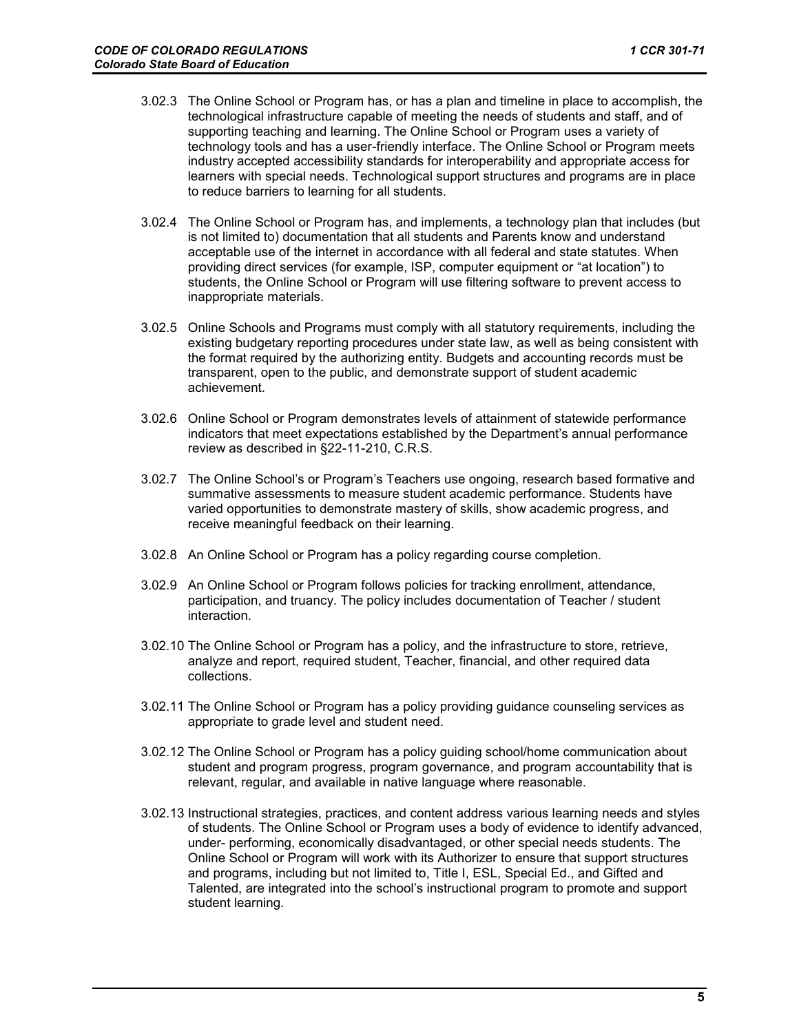- 3.02.3 The Online School or Program has, or has a plan and timeline in place to accomplish, the technological infrastructure capable of meeting the needs of students and staff, and of supporting teaching and learning. The Online School or Program uses a variety of technology tools and has a user-friendly interface. The Online School or Program meets industry accepted accessibility standards for interoperability and appropriate access for learners with special needs. Technological support structures and programs are in place to reduce barriers to learning for all students.
- 3.02.4 The Online School or Program has, and implements, a technology plan that includes (but is not limited to) documentation that all students and Parents know and understand acceptable use of the internet in accordance with all federal and state statutes. When providing direct services (for example, ISP, computer equipment or "at location") to students, the Online School or Program will use filtering software to prevent access to inappropriate materials.
- 3.02.5 Online Schools and Programs must comply with all statutory requirements, including the existing budgetary reporting procedures under state law, as well as being consistent with the format required by the authorizing entity. Budgets and accounting records must be transparent, open to the public, and demonstrate support of student academic achievement.
- 3.02.6 Online School or Program demonstrates levels of attainment of statewide performance indicators that meet expectations established by the Department's annual performance review as described in §22-11-210, C.R.S.
- 3.02.7 The Online School's or Program's Teachers use ongoing, research based formative and summative assessments to measure student academic performance. Students have varied opportunities to demonstrate mastery of skills, show academic progress, and receive meaningful feedback on their learning.
- 3.02.8 An Online School or Program has a policy regarding course completion.
- 3.02.9 An Online School or Program follows policies for tracking enrollment, attendance, participation, and truancy. The policy includes documentation of Teacher / student interaction.
- 3.02.10 The Online School or Program has a policy, and the infrastructure to store, retrieve, analyze and report, required student, Teacher, financial, and other required data collections.
- 3.02.11 The Online School or Program has a policy providing guidance counseling services as appropriate to grade level and student need.
- 3.02.12 The Online School or Program has a policy guiding school/home communication about student and program progress, program governance, and program accountability that is relevant, regular, and available in native language where reasonable.
- 3.02.13 Instructional strategies, practices, and content address various learning needs and styles of students. The Online School or Program uses a body of evidence to identify advanced, under- performing, economically disadvantaged, or other special needs students. The Online School or Program will work with its Authorizer to ensure that support structures and programs, including but not limited to, Title I, ESL, Special Ed., and Gifted and Talented, are integrated into the school's instructional program to promote and support student learning.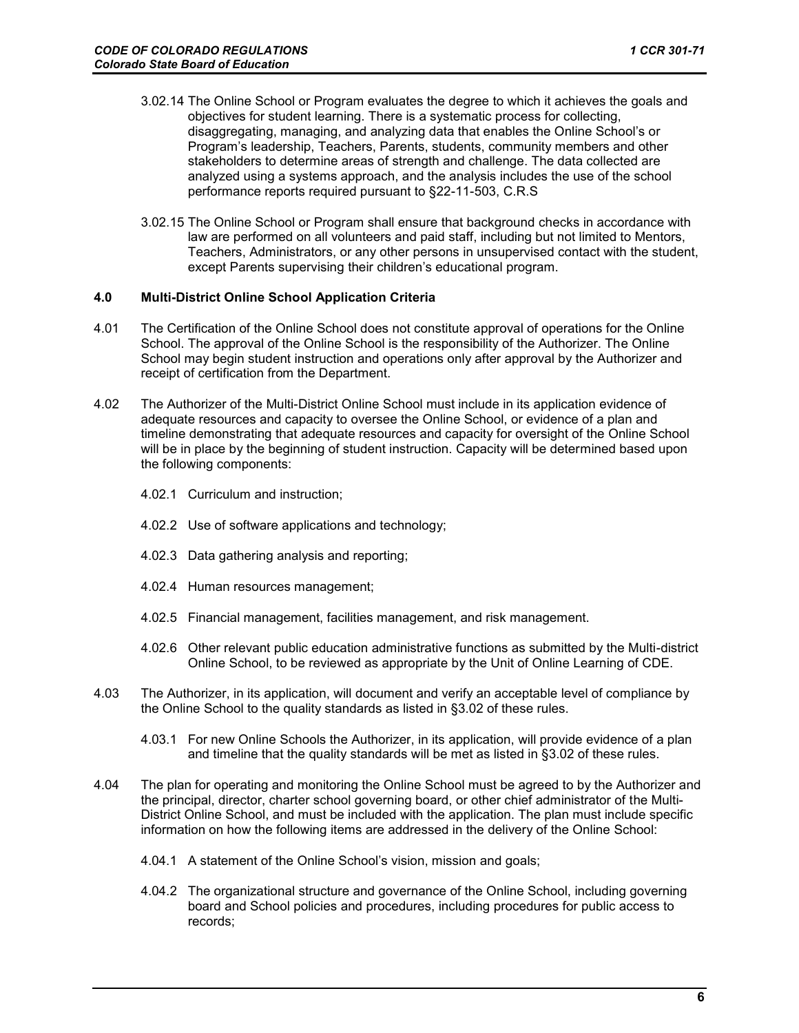- 3.02.14 The Online School or Program evaluates the degree to which it achieves the goals and objectives for student learning. There is a systematic process for collecting, disaggregating, managing, and analyzing data that enables the Online School's or Program's leadership, Teachers, Parents, students, community members and other stakeholders to determine areas of strength and challenge. The data collected are analyzed using a systems approach, and the analysis includes the use of the school performance reports required pursuant to §22-11-503, C.R.S
- 3.02.15 The Online School or Program shall ensure that background checks in accordance with law are performed on all volunteers and paid staff, including but not limited to Mentors, Teachers, Administrators, or any other persons in unsupervised contact with the student, except Parents supervising their children's educational program.

#### **4.0 Multi-District Online School Application Criteria**

- 4.01 The Certification of the Online School does not constitute approval of operations for the Online School. The approval of the Online School is the responsibility of the Authorizer. The Online School may begin student instruction and operations only after approval by the Authorizer and receipt of certification from the Department.
- 4.02 The Authorizer of the Multi-District Online School must include in its application evidence of adequate resources and capacity to oversee the Online School, or evidence of a plan and timeline demonstrating that adequate resources and capacity for oversight of the Online School will be in place by the beginning of student instruction. Capacity will be determined based upon the following components:
	- 4.02.1 Curriculum and instruction;
	- 4.02.2 Use of software applications and technology;
	- 4.02.3 Data gathering analysis and reporting;
	- 4.02.4 Human resources management;
	- 4.02.5 Financial management, facilities management, and risk management.
	- 4.02.6 Other relevant public education administrative functions as submitted by the Multi-district Online School, to be reviewed as appropriate by the Unit of Online Learning of CDE.
- 4.03 The Authorizer, in its application, will document and verify an acceptable level of compliance by the Online School to the quality standards as listed in §3.02 of these rules.
	- 4.03.1 For new Online Schools the Authorizer, in its application, will provide evidence of a plan and timeline that the quality standards will be met as listed in §3.02 of these rules.
- 4.04 The plan for operating and monitoring the Online School must be agreed to by the Authorizer and the principal, director, charter school governing board, or other chief administrator of the Multi-District Online School, and must be included with the application. The plan must include specific information on how the following items are addressed in the delivery of the Online School:
	- 4.04.1 A statement of the Online School's vision, mission and goals;
	- 4.04.2 The organizational structure and governance of the Online School, including governing board and School policies and procedures, including procedures for public access to records;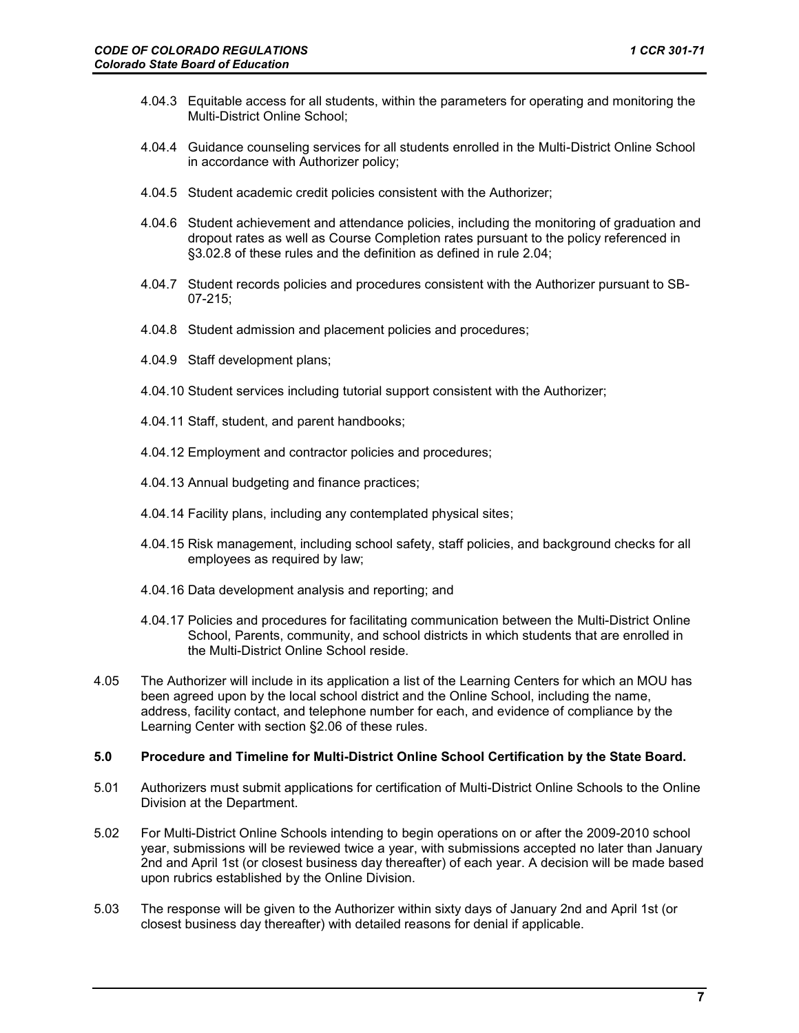- 4.04.3 Equitable access for all students, within the parameters for operating and monitoring the Multi-District Online School;
- 4.04.4 Guidance counseling services for all students enrolled in the Multi-District Online School in accordance with Authorizer policy;
- 4.04.5 Student academic credit policies consistent with the Authorizer;
- 4.04.6 Student achievement and attendance policies, including the monitoring of graduation and dropout rates as well as Course Completion rates pursuant to the policy referenced in §3.02.8 of these rules and the definition as defined in rule 2.04;
- 4.04.7 Student records policies and procedures consistent with the Authorizer pursuant to SB-07-215;
- 4.04.8 Student admission and placement policies and procedures;
- 4.04.9 Staff development plans;
- 4.04.10 Student services including tutorial support consistent with the Authorizer;
- 4.04.11 Staff, student, and parent handbooks;
- 4.04.12 Employment and contractor policies and procedures;
- 4.04.13 Annual budgeting and finance practices;
- 4.04.14 Facility plans, including any contemplated physical sites;
- 4.04.15 Risk management, including school safety, staff policies, and background checks for all employees as required by law;
- 4.04.16 Data development analysis and reporting; and
- 4.04.17 Policies and procedures for facilitating communication between the Multi-District Online School, Parents, community, and school districts in which students that are enrolled in the Multi-District Online School reside.
- 4.05 The Authorizer will include in its application a list of the Learning Centers for which an MOU has been agreed upon by the local school district and the Online School, including the name, address, facility contact, and telephone number for each, and evidence of compliance by the Learning Center with section §2.06 of these rules.

## **5.0 Procedure and Timeline for Multi-District Online School Certification by the State Board.**

- 5.01 Authorizers must submit applications for certification of Multi-District Online Schools to the Online Division at the Department.
- 5.02 For Multi-District Online Schools intending to begin operations on or after the 2009-2010 school year, submissions will be reviewed twice a year, with submissions accepted no later than January 2nd and April 1st (or closest business day thereafter) of each year. A decision will be made based upon rubrics established by the Online Division.
- 5.03 The response will be given to the Authorizer within sixty days of January 2nd and April 1st (or closest business day thereafter) with detailed reasons for denial if applicable.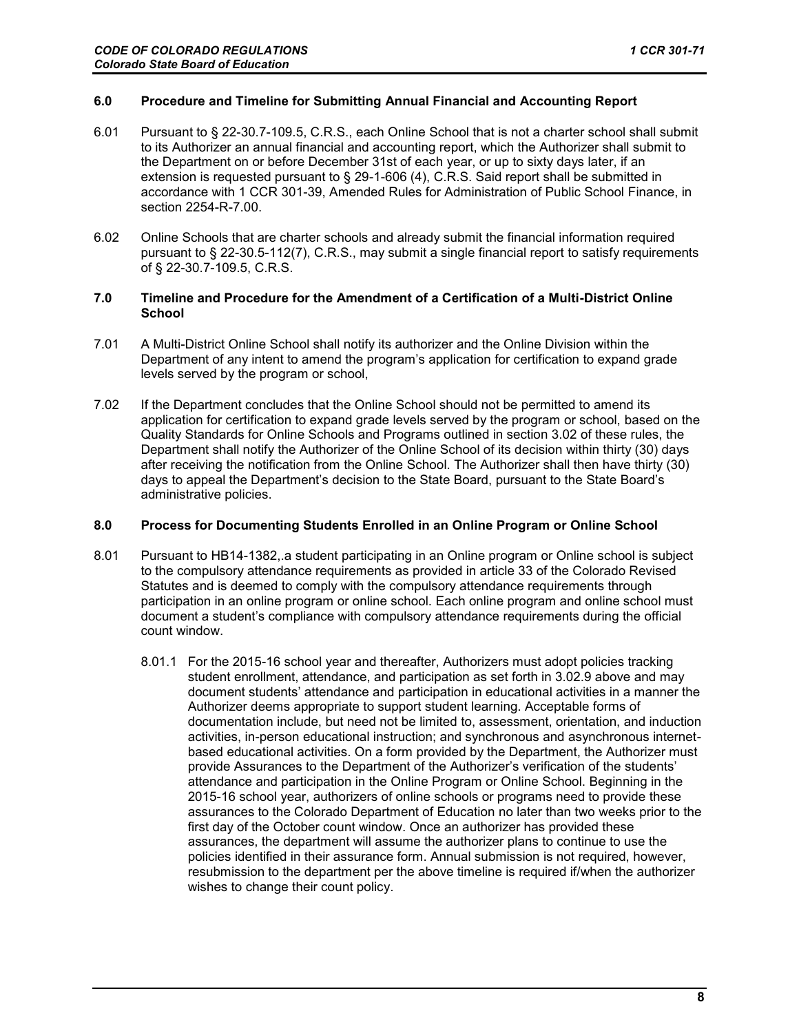# **6.0 Procedure and Timeline for Submitting Annual Financial and Accounting Report**

- 6.01 Pursuant to § 22-30.7-109.5, C.R.S., each Online School that is not a charter school shall submit to its Authorizer an annual financial and accounting report, which the Authorizer shall submit to the Department on or before December 31st of each year, or up to sixty days later, if an extension is requested pursuant to § 29-1-606 (4), C.R.S. Said report shall be submitted in accordance with 1 CCR 301-39, Amended Rules for Administration of Public School Finance, in section 2254-R-7.00.
- 6.02 Online Schools that are charter schools and already submit the financial information required pursuant to § 22-30.5-112(7), C.R.S., may submit a single financial report to satisfy requirements of § 22-30.7-109.5, C.R.S.

# **7.0 Timeline and Procedure for the Amendment of a Certification of a Multi-District Online School**

- 7.01 A Multi-District Online School shall notify its authorizer and the Online Division within the Department of any intent to amend the program's application for certification to expand grade levels served by the program or school,
- 7.02 If the Department concludes that the Online School should not be permitted to amend its application for certification to expand grade levels served by the program or school, based on the Quality Standards for Online Schools and Programs outlined in section 3.02 of these rules, the Department shall notify the Authorizer of the Online School of its decision within thirty (30) days after receiving the notification from the Online School. The Authorizer shall then have thirty (30) days to appeal the Department's decision to the State Board, pursuant to the State Board's administrative policies.

### **8.0 Process for Documenting Students Enrolled in an Online Program or Online School**

- 8.01 Pursuant to HB14-1382,.a student participating in an Online program or Online school is subject to the compulsory attendance requirements as provided in article 33 of the Colorado Revised Statutes and is deemed to comply with the compulsory attendance requirements through participation in an online program or online school. Each online program and online school must document a student's compliance with compulsory attendance requirements during the official count window.
	- 8.01.1 For the 2015-16 school year and thereafter, Authorizers must adopt policies tracking student enrollment, attendance, and participation as set forth in 3.02.9 above and may document students' attendance and participation in educational activities in a manner the Authorizer deems appropriate to support student learning. Acceptable forms of documentation include, but need not be limited to, assessment, orientation, and induction activities, in-person educational instruction; and synchronous and asynchronous internetbased educational activities. On a form provided by the Department, the Authorizer must provide Assurances to the Department of the Authorizer's verification of the students' attendance and participation in the Online Program or Online School. Beginning in the 2015-16 school year, authorizers of online schools or programs need to provide these assurances to the Colorado Department of Education no later than two weeks prior to the first day of the October count window. Once an authorizer has provided these assurances, the department will assume the authorizer plans to continue to use the policies identified in their assurance form. Annual submission is not required, however, resubmission to the department per the above timeline is required if/when the authorizer wishes to change their count policy.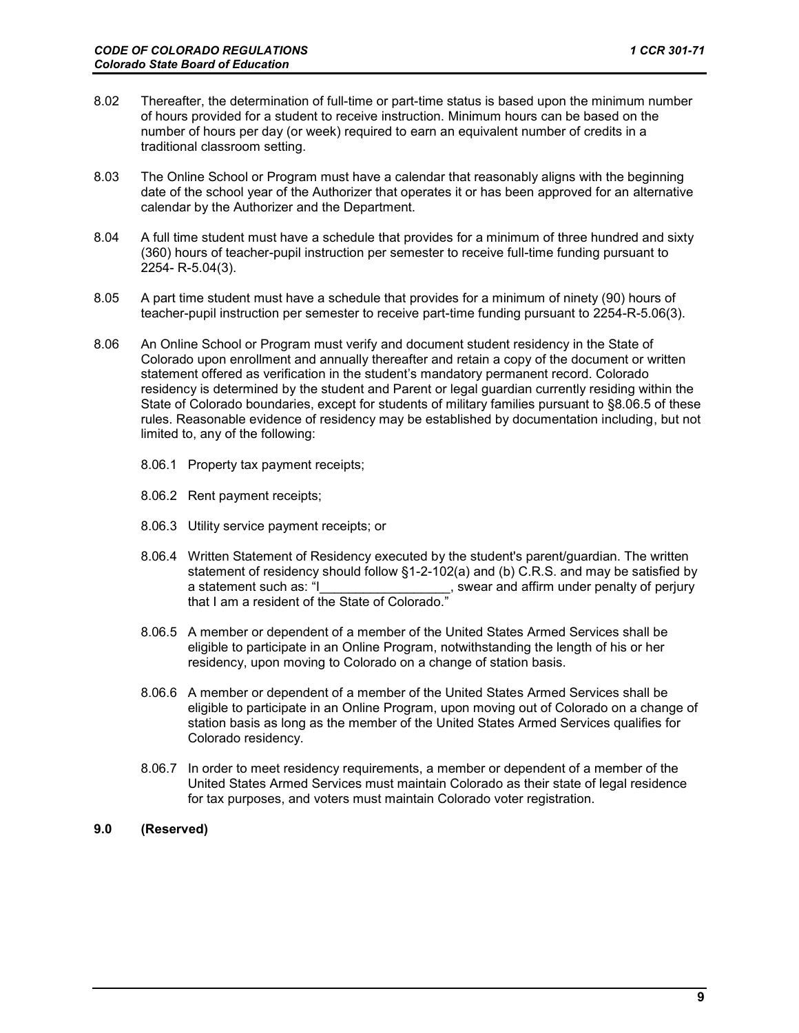- 8.02 Thereafter, the determination of full-time or part-time status is based upon the minimum number of hours provided for a student to receive instruction. Minimum hours can be based on the number of hours per day (or week) required to earn an equivalent number of credits in a traditional classroom setting.
- 8.03 The Online School or Program must have a calendar that reasonably aligns with the beginning date of the school year of the Authorizer that operates it or has been approved for an alternative calendar by the Authorizer and the Department.
- 8.04 A full time student must have a schedule that provides for a minimum of three hundred and sixty (360) hours of teacher-pupil instruction per semester to receive full-time funding pursuant to 2254- R-5.04(3).
- 8.05 A part time student must have a schedule that provides for a minimum of ninety (90) hours of teacher-pupil instruction per semester to receive part-time funding pursuant to 2254-R-5.06(3).
- 8.06 An Online School or Program must verify and document student residency in the State of Colorado upon enrollment and annually thereafter and retain a copy of the document or written statement offered as verification in the student's mandatory permanent record. Colorado residency is determined by the student and Parent or legal guardian currently residing within the State of Colorado boundaries, except for students of military families pursuant to §8.06.5 of these rules. Reasonable evidence of residency may be established by documentation including, but not limited to, any of the following:
	- 8.06.1 Property tax payment receipts;
	- 8.06.2 Rent payment receipts;
	- 8.06.3 Utility service payment receipts; or
	- 8.06.4 Written Statement of Residency executed by the student's parent/guardian. The written statement of residency should follow §1-2-102(a) and (b) C.R.S. and may be satisfied by a statement such as: "I\_\_\_\_\_\_\_\_\_\_\_\_\_\_\_\_\_\_\_\_, swear and affirm under penalty of perjury that I am a resident of the State of Colorado.
	- 8.06.5 A member or dependent of a member of the United States Armed Services shall be eligible to participate in an Online Program, notwithstanding the length of his or her residency, upon moving to Colorado on a change of station basis.
	- 8.06.6 A member or dependent of a member of the United States Armed Services shall be eligible to participate in an Online Program, upon moving out of Colorado on a change of station basis as long as the member of the United States Armed Services qualifies for Colorado residency.
	- 8.06.7 In order to meet residency requirements, a member or dependent of a member of the United States Armed Services must maintain Colorado as their state of legal residence for tax purposes, and voters must maintain Colorado voter registration.
- **9.0 (Reserved)**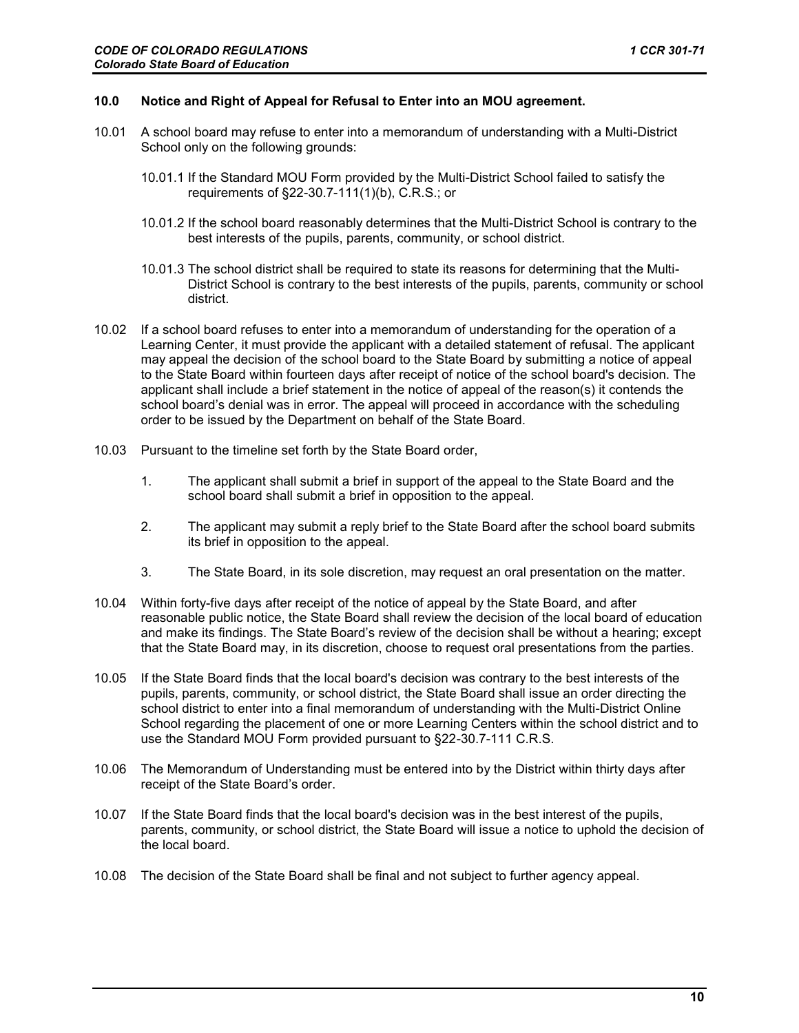### **10.0 Notice and Right of Appeal for Refusal to Enter into an MOU agreement.**

- 10.01 A school board may refuse to enter into a memorandum of understanding with a Multi-District School only on the following grounds:
	- 10.01.1 If the Standard MOU Form provided by the Multi-District School failed to satisfy the requirements of §22-30.7-111(1)(b), C.R.S.; or
	- 10.01.2 If the school board reasonably determines that the Multi-District School is contrary to the best interests of the pupils, parents, community, or school district.
	- 10.01.3 The school district shall be required to state its reasons for determining that the Multi-District School is contrary to the best interests of the pupils, parents, community or school district.
- 10.02 If a school board refuses to enter into a memorandum of understanding for the operation of a Learning Center, it must provide the applicant with a detailed statement of refusal. The applicant may appeal the decision of the school board to the State Board by submitting a notice of appeal to the State Board within fourteen days after receipt of notice of the school board's decision. The applicant shall include a brief statement in the notice of appeal of the reason(s) it contends the school board's denial was in error. The appeal will proceed in accordance with the scheduling order to be issued by the Department on behalf of the State Board.
- 10.03 Pursuant to the timeline set forth by the State Board order,
	- 1. The applicant shall submit a brief in support of the appeal to the State Board and the school board shall submit a brief in opposition to the appeal.
	- 2. The applicant may submit a reply brief to the State Board after the school board submits its brief in opposition to the appeal.
	- 3. The State Board, in its sole discretion, may request an oral presentation on the matter.
- 10.04 Within forty-five days after receipt of the notice of appeal by the State Board, and after reasonable public notice, the State Board shall review the decision of the local board of education and make its findings. The State Board's review of the decision shall be without a hearing; except that the State Board may, in its discretion, choose to request oral presentations from the parties.
- 10.05 If the State Board finds that the local board's decision was contrary to the best interests of the pupils, parents, community, or school district, the State Board shall issue an order directing the school district to enter into a final memorandum of understanding with the Multi-District Online School regarding the placement of one or more Learning Centers within the school district and to use the Standard MOU Form provided pursuant to §22-30.7-111 C.R.S.
- 10.06 The Memorandum of Understanding must be entered into by the District within thirty days after receipt of the State Board's order.
- 10.07 If the State Board finds that the local board's decision was in the best interest of the pupils, parents, community, or school district, the State Board will issue a notice to uphold the decision of the local board.
- 10.08 The decision of the State Board shall be final and not subject to further agency appeal.